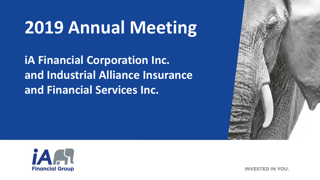# **2019 Annual Meeting**

**iA Financial Corporation Inc. and Industrial Alliance Insurance and Financial Services Inc.**





**INVESTED IN YOU.**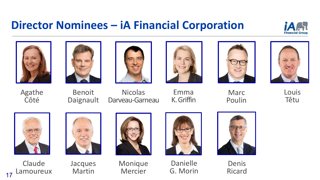#### **Director Nominees – iA Financial Corporation**





Agathe Côté









Marc Poulin



Louis Têtu

Benoit Daignault

**Nicolas** Darveau-Garneau

Emma K. Griffin



Claude Lamoureux

17



Jacques Martin



Monique Mercier



Danielle G. Morin



Denis Ricard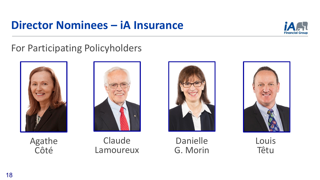### **Director Nominees – iA Insurance**



#### For Participating Policyholders







Danielle G. Morin



Louis Têtu

Agathe Côté

Claude Lamoureux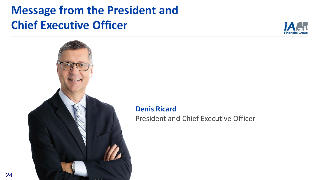



**Denis Ricard**

President and Chief Executive Officer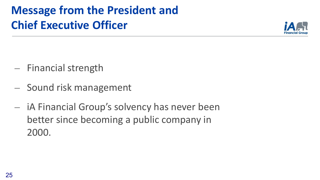

- ⎼ Financial strength
- ⎼ Sound risk management
- $-$  iA Financial Group's solvency has never been better since becoming a public company in 2000.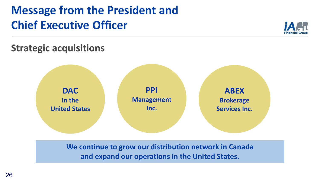

#### **Strategic acquisitions**



**We continue to grow our distribution network in Canada and expand our operations in the United States.**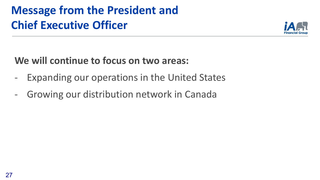

#### **We will continue to focus on two areas:**

- Expanding our operations in the United States
- Growing our distribution network in Canada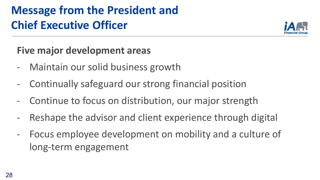

**Five major development areas**

- Maintain our solid business growth
- Continually safeguard our strong financial position
- Continue to focus on distribution, our major strength
- Reshape the advisor and client experience through digital
- Focus employee development on mobility and a culture of long-term engagement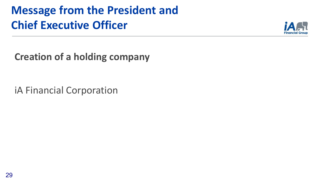

**Creation of a holding company**

iA Financial Corporation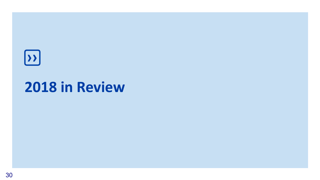# **››**

# **2018 in Review**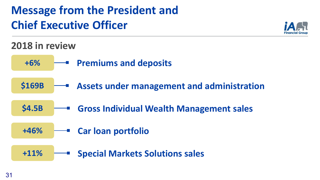

#### **2018 in review**

- **Premiums and deposits +6%**
- **\$169B Assets under management and administration**
- **\$4.5B Gross Individual Wealth Management sales**
- **+46% Car loan portfolio**
	- **+11% Special Markets Solutions sales**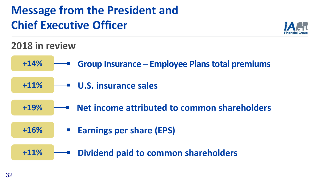

#### **2018 in review**

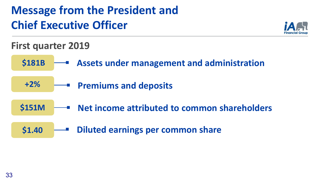

**First quarter 2019**

- **Assets under management and administration \$181B**
	- **+2% Premiums and deposits**
- **\$151M Net income attributed to common shareholders**
	- **\$1.40 Diluted earnings per common share**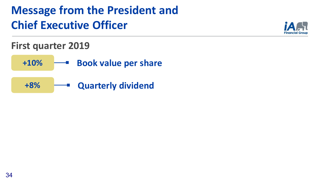

#### **First quarter 2019**

- **+10%**  $\longrightarrow$  Book value per share
- **+8% Quarterly dividend**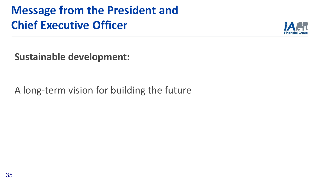

**Sustainable development:**

A long-term vision for building the future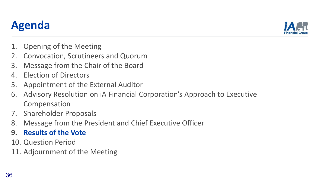#### **Agenda**

- 1. Opening of the Meeting
- 2. Convocation, Scrutineers and Quorum
- 3. Message from the Chair of the Board
- 4. Election of Directors
- 5. Appointment of the External Auditor
- 6. Advisory Resolution on iA Financial Corporation's Approach to Executive Compensation
- 7. Shareholder Proposals
- 8. Message from the President and Chief Executive Officer
- **9. Results of the Vote**
- 10. Question Period
- 11. Adjournment of the Meeting

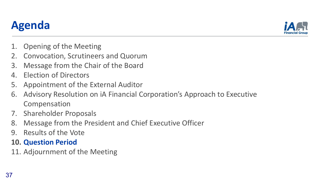#### **Agenda**

- 1. Opening of the Meeting
- 2. Convocation, Scrutineers and Quorum
- 3. Message from the Chair of the Board
- 4. Election of Directors
- 5. Appointment of the External Auditor
- 6. Advisory Resolution on iA Financial Corporation's Approach to Executive Compensation
- 7. Shareholder Proposals
- 8. Message from the President and Chief Executive Officer
- 9. Results of the Vote

#### **10. Question Period**

11. Adjournment of the Meeting

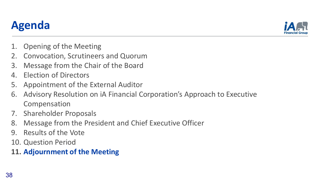#### **Agenda**

- 1. Opening of the Meeting
- 2. Convocation, Scrutineers and Quorum
- 3. Message from the Chair of the Board
- 4. Election of Directors
- 5. Appointment of the External Auditor
- 6. Advisory Resolution on iA Financial Corporation's Approach to Executive Compensation
- 7. Shareholder Proposals
- 8. Message from the President and Chief Executive Officer
- 9. Results of the Vote
- 10. Question Period

#### **11. Adjournment of the Meeting**